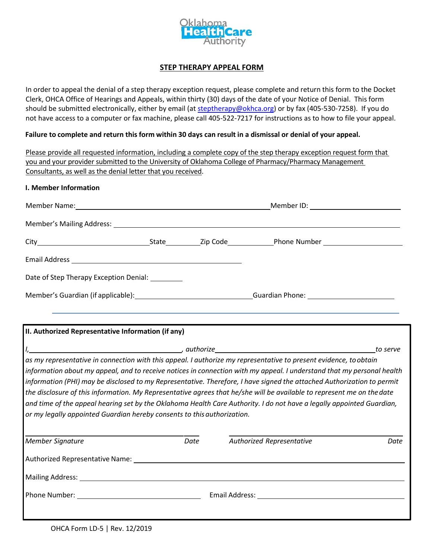

## **STEP THERAPY APPEAL FORM**

In order to appeal the denial of a step therapy exception request, please complete and return this form to the Docket Clerk, OHCA Office of Hearings and Appeals, within thirty (30) days of the date of your Notice of Denial. This form should be submitted electronically, either by email (at steptherapy@okhca.org) or by fax (405-530-7258). If you do not have access to a computer or fax machine, please call 405-522-7217 for instructions as to how to file your appeal.

## **Failure to complete and return this form within 30 days can result in a dismissal or denial of your appeal.**

Please provide all requested information, including a complete copy of the step therapy exception request form that you and your provider submitted to the University of Oklahoma College of Pharmacy/Pharmacy Management Consultants, as well as the denial letter that you received.

## **I. Member Information**

| Member Name: 1990 and 200 million and 200 million and 200 million and 200 million and 200 million and 200 mill |  |  | Member ID: ___________________________ |  |
|----------------------------------------------------------------------------------------------------------------|--|--|----------------------------------------|--|
|                                                                                                                |  |  |                                        |  |
|                                                                                                                |  |  |                                        |  |
|                                                                                                                |  |  |                                        |  |
| Date of Step Therapy Exception Denial:                                                                         |  |  |                                        |  |
| Member's Guardian (if applicable): Member's Guardian (if applicable):                                          |  |  | Guardian Phone: Cambridge Contractor   |  |

## **II. Authorized Representative Information (if any)**

|                                                                                                                        |      | to serve                                                                                                                                                                                                                      |      |  |  |  |  |  |
|------------------------------------------------------------------------------------------------------------------------|------|-------------------------------------------------------------------------------------------------------------------------------------------------------------------------------------------------------------------------------|------|--|--|--|--|--|
| as my representative in connection with this appeal. I authorize my representative to present evidence, to obtain      |      |                                                                                                                                                                                                                               |      |  |  |  |  |  |
| information about my appeal, and to receive notices in connection with my appeal. I understand that my personal health |      |                                                                                                                                                                                                                               |      |  |  |  |  |  |
| information (PHI) may be disclosed to my Representative. Therefore, I have signed the attached Authorization to permit |      |                                                                                                                                                                                                                               |      |  |  |  |  |  |
| the disclosure of this information. My Representative agrees that he/she will be available to represent me on the date |      |                                                                                                                                                                                                                               |      |  |  |  |  |  |
| and time of the appeal hearing set by the Oklahoma Health Care Authority. I do not have a legally appointed Guardian,  |      |                                                                                                                                                                                                                               |      |  |  |  |  |  |
| or my legally appointed Guardian hereby consents to this authorization.                                                |      |                                                                                                                                                                                                                               |      |  |  |  |  |  |
|                                                                                                                        |      |                                                                                                                                                                                                                               |      |  |  |  |  |  |
| Member Signature                                                                                                       | Date | Authorized Representative                                                                                                                                                                                                     | Date |  |  |  |  |  |
| Authorized Representative Name:                                                                                        |      |                                                                                                                                                                                                                               |      |  |  |  |  |  |
|                                                                                                                        |      |                                                                                                                                                                                                                               |      |  |  |  |  |  |
|                                                                                                                        |      | Email Address: The Manuscripture of the Manuscripture of the Manuscripture of the Manuscripture of the Manuscripture of the Manuscripture of the Manuscripture of the Manuscripture of the Manuscripture of the Manuscripture |      |  |  |  |  |  |
|                                                                                                                        |      |                                                                                                                                                                                                                               |      |  |  |  |  |  |